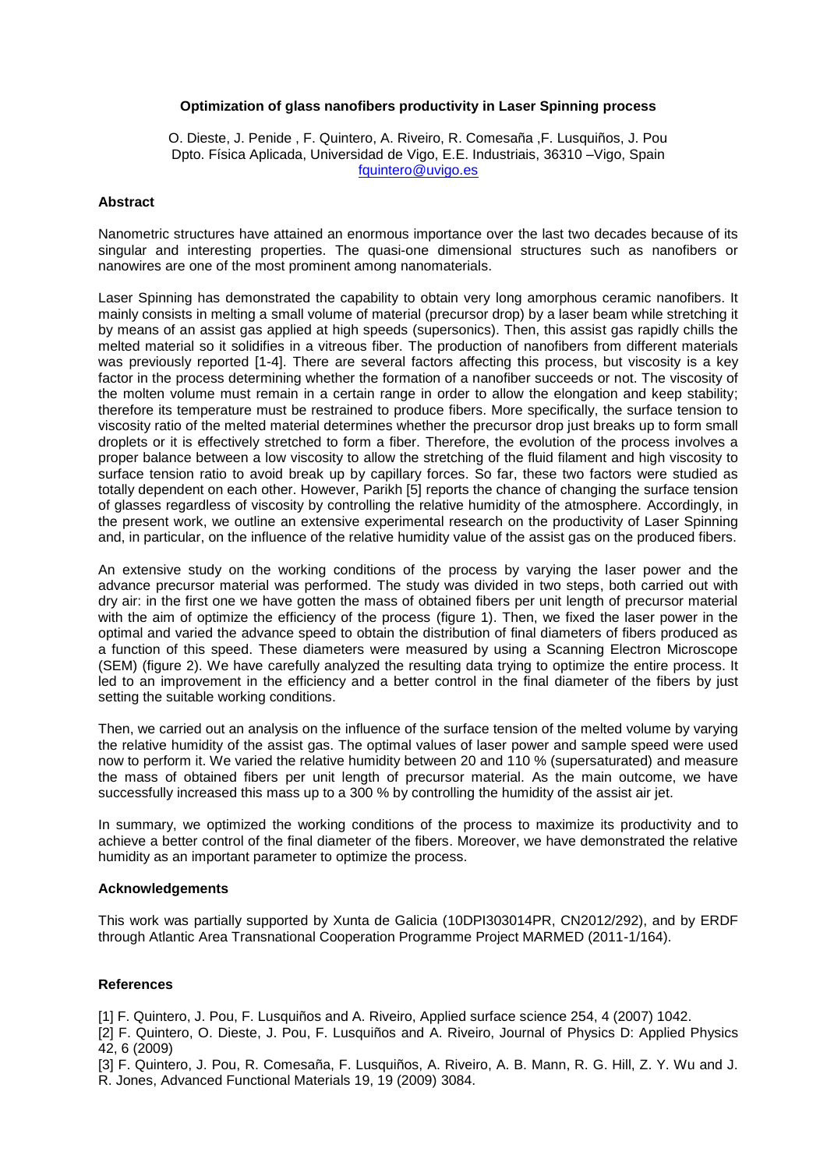# **Optimization of glass nanofibers productivity in Laser Spinning process**

O. Dieste, J. Penide , F. Quintero, A. Riveiro, R. Comesaña ,F. Lusquiños, J. Pou Dpto. Física Aplicada, Universidad de Vigo, E.E. Industriais, 36310 –Vigo, Spain [fquintero@uvigo.es](file:///E:/Documentos_Felix/Artículos/NanoSpain/NanoSpain%202013/fquintero@uvigo.es)

#### **Abstract**

Nanometric structures have attained an enormous importance over the last two decades because of its singular and interesting properties. The quasi-one dimensional structures such as nanofibers or nanowires are one of the most prominent among nanomaterials.

Laser Spinning has demonstrated the capability to obtain very long amorphous ceramic nanofibers. It mainly consists in melting a small volume of material (precursor drop) by a laser beam while stretching it by means of an assist gas applied at high speeds (supersonics). Then, this assist gas rapidly chills the melted material so it solidifies in a vitreous fiber. The production of nanofibers from different materials was previously reported [1-4]. There are several factors affecting this process, but viscosity is a key factor in the process determining whether the formation of a nanofiber succeeds or not. The viscosity of the molten volume must remain in a certain range in order to allow the elongation and keep stability; therefore its temperature must be restrained to produce fibers. More specifically, the surface tension to viscosity ratio of the melted material determines whether the precursor drop just breaks up to form small droplets or it is effectively stretched to form a fiber. Therefore, the evolution of the process involves a proper balance between a low viscosity to allow the stretching of the fluid filament and high viscosity to surface tension ratio to avoid break up by capillary forces. So far, these two factors were studied as totally dependent on each other. However, Parikh [5] reports the chance of changing the surface tension of glasses regardless of viscosity by controlling the relative humidity of the atmosphere. Accordingly, in the present work, we outline an extensive experimental research on the productivity of Laser Spinning and, in particular, on the influence of the relative humidity value of the assist gas on the produced fibers.

An extensive study on the working conditions of the process by varying the laser power and the advance precursor material was performed. The study was divided in two steps, both carried out with dry air: in the first one we have gotten the mass of obtained fibers per unit length of precursor material with the aim of optimize the efficiency of the process (figure 1). Then, we fixed the laser power in the optimal and varied the advance speed to obtain the distribution of final diameters of fibers produced as a function of this speed. These diameters were measured by using a Scanning Electron Microscope (SEM) (figure 2). We have carefully analyzed the resulting data trying to optimize the entire process. It led to an improvement in the efficiency and a better control in the final diameter of the fibers by just setting the suitable working conditions.

Then, we carried out an analysis on the influence of the surface tension of the melted volume by varying the relative humidity of the assist gas. The optimal values of laser power and sample speed were used now to perform it. We varied the relative humidity between 20 and 110 % (supersaturated) and measure the mass of obtained fibers per unit length of precursor material. As the main outcome, we have successfully increased this mass up to a 300 % by controlling the humidity of the assist air jet.

In summary, we optimized the working conditions of the process to maximize its productivity and to achieve a better control of the final diameter of the fibers. Moreover, we have demonstrated the relative humidity as an important parameter to optimize the process.

## **Acknowledgements**

This work was partially supported by Xunta de Galicia (10DPI303014PR, CN2012/292), and by ERDF through Atlantic Area Transnational Cooperation Programme Project MARMED (2011-1/164).

# **References**

[1] F. Quintero, J. Pou, F. Lusquiños and A. Riveiro, Applied surface science 254, 4 (2007) 1042.

[2] F. Quintero, O. Dieste, J. Pou, F. Lusquiños and A. Riveiro, Journal of Physics D: Applied Physics 42, 6 (2009)

[3] F. Quintero, J. Pou, R. Comesaña, F. Lusquiños, A. Riveiro, A. B. Mann, R. G. Hill, Z. Y. Wu and J. R. Jones, Advanced Functional Materials 19, 19 (2009) 3084.